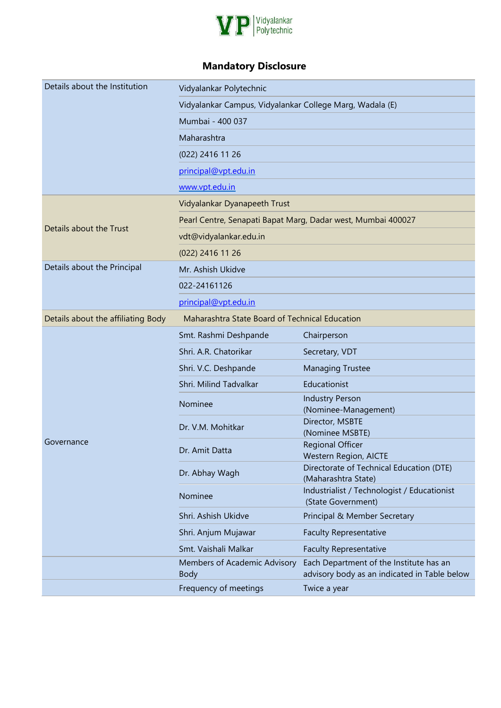

## **Mandatory Disclosure**

| Details about the Institution      | Vidyalankar Polytechnic                                      |                                                                                         |  |  |  |  |
|------------------------------------|--------------------------------------------------------------|-----------------------------------------------------------------------------------------|--|--|--|--|
|                                    | Vidyalankar Campus, Vidyalankar College Marg, Wadala (E)     |                                                                                         |  |  |  |  |
|                                    | Mumbai - 400 037                                             |                                                                                         |  |  |  |  |
|                                    | Maharashtra                                                  |                                                                                         |  |  |  |  |
|                                    | (022) 2416 11 26                                             |                                                                                         |  |  |  |  |
|                                    | principal@vpt.edu.in                                         |                                                                                         |  |  |  |  |
|                                    | www.vpt.edu.in                                               |                                                                                         |  |  |  |  |
|                                    | Vidyalankar Dyanapeeth Trust                                 |                                                                                         |  |  |  |  |
|                                    | Pearl Centre, Senapati Bapat Marg, Dadar west, Mumbai 400027 |                                                                                         |  |  |  |  |
| Details about the Trust            | vdt@vidyalankar.edu.in                                       |                                                                                         |  |  |  |  |
|                                    | (022) 2416 11 26                                             |                                                                                         |  |  |  |  |
| Details about the Principal        | Mr. Ashish Ukidve                                            |                                                                                         |  |  |  |  |
|                                    | 022-24161126                                                 |                                                                                         |  |  |  |  |
|                                    | principal@vpt.edu.in                                         |                                                                                         |  |  |  |  |
| Details about the affiliating Body | Maharashtra State Board of Technical Education               |                                                                                         |  |  |  |  |
|                                    | Smt. Rashmi Deshpande                                        | Chairperson                                                                             |  |  |  |  |
|                                    | Shri. A.R. Chatorikar                                        | Secretary, VDT                                                                          |  |  |  |  |
|                                    | Shri. V.C. Deshpande                                         | <b>Managing Trustee</b>                                                                 |  |  |  |  |
|                                    | Shri. Milind Tadvalkar                                       | Educationist                                                                            |  |  |  |  |
|                                    | Nominee                                                      | <b>Industry Person</b>                                                                  |  |  |  |  |
|                                    |                                                              | (Nominee-Management)<br>Director, MSBTE                                                 |  |  |  |  |
|                                    | Dr. V.M. Mohitkar                                            | (Nominee MSBTE)                                                                         |  |  |  |  |
| Governance                         | Dr. Amit Datta                                               | <b>Regional Officer</b><br><b>Western Region, AICTE</b>                                 |  |  |  |  |
|                                    | Dr. Abhay Wagh                                               | Directorate of Technical Education (DTE)                                                |  |  |  |  |
|                                    |                                                              | (Maharashtra State)                                                                     |  |  |  |  |
|                                    | Nominee                                                      | Industrialist / Technologist / Educationist<br>(State Government)                       |  |  |  |  |
|                                    | Shri. Ashish Ukidve                                          | Principal & Member Secretary                                                            |  |  |  |  |
|                                    | Shri. Anjum Mujawar                                          | <b>Faculty Representative</b>                                                           |  |  |  |  |
|                                    | Smt. Vaishali Malkar                                         | <b>Faculty Representative</b>                                                           |  |  |  |  |
|                                    | Members of Academic Advisory<br><b>Body</b>                  | Each Department of the Institute has an<br>advisory body as an indicated in Table below |  |  |  |  |
|                                    | Frequency of meetings                                        | Twice a year                                                                            |  |  |  |  |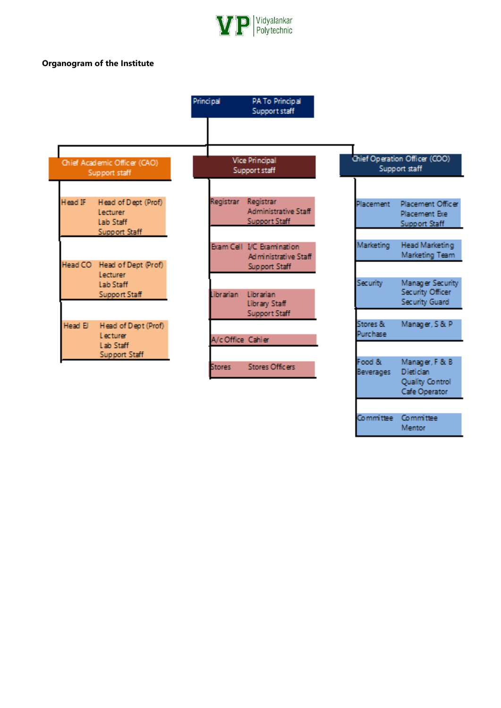

## **Organogram of the Institute**

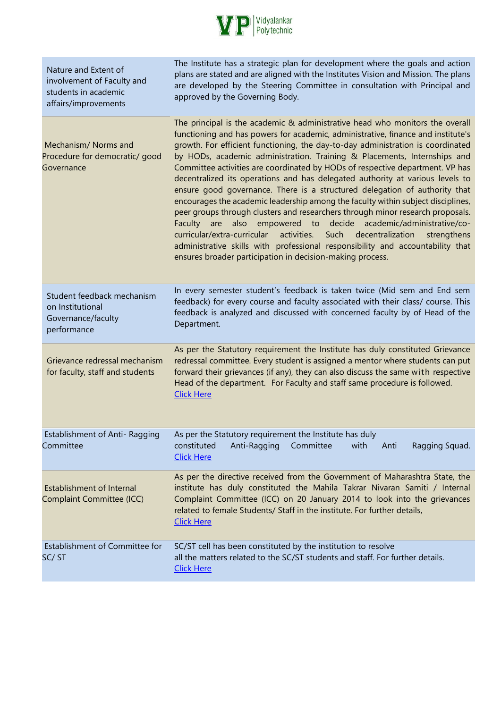

| Nature and Extent of<br>involvement of Faculty and<br>students in academic<br>affairs/improvements | The Institute has a strategic plan for development where the goals and action<br>plans are stated and are aligned with the Institutes Vision and Mission. The plans<br>are developed by the Steering Committee in consultation with Principal and<br>approved by the Governing Body.                                                                                                                                                                                                                                                                                                                                                                                                                                                                                                                                                                                                                                                                                                                                                                           |
|----------------------------------------------------------------------------------------------------|----------------------------------------------------------------------------------------------------------------------------------------------------------------------------------------------------------------------------------------------------------------------------------------------------------------------------------------------------------------------------------------------------------------------------------------------------------------------------------------------------------------------------------------------------------------------------------------------------------------------------------------------------------------------------------------------------------------------------------------------------------------------------------------------------------------------------------------------------------------------------------------------------------------------------------------------------------------------------------------------------------------------------------------------------------------|
| Mechanism/ Norms and<br>Procedure for democratic/ good<br>Governance                               | The principal is the academic & administrative head who monitors the overall<br>functioning and has powers for academic, administrative, finance and institute's<br>growth. For efficient functioning, the day-to-day administration is coordinated<br>by HODs, academic administration. Training & Placements, Internships and<br>Committee activities are coordinated by HODs of respective department. VP has<br>decentralized its operations and has delegated authority at various levels to<br>ensure good governance. There is a structured delegation of authority that<br>encourages the academic leadership among the faculty within subject disciplines,<br>peer groups through clusters and researchers through minor research proposals.<br>Faculty are also empowered to decide academic/administrative/co-<br>curricular/extra-curricular<br>activities.<br>Such decentralization<br>strengthens<br>administrative skills with professional responsibility and accountability that<br>ensures broader participation in decision-making process. |
| Student feedback mechanism<br>on Institutional<br>Governance/faculty<br>performance                | In every semester student's feedback is taken twice (Mid sem and End sem<br>feedback) for every course and faculty associated with their class/ course. This<br>feedback is analyzed and discussed with concerned faculty by of Head of the<br>Department.                                                                                                                                                                                                                                                                                                                                                                                                                                                                                                                                                                                                                                                                                                                                                                                                     |
| Grievance redressal mechanism<br>for faculty, staff and students                                   | As per the Statutory requirement the Institute has duly constituted Grievance<br>redressal committee. Every student is assigned a mentor where students can put<br>forward their grievances (if any), they can also discuss the same with respective<br>Head of the department. For Faculty and staff same procedure is followed.<br><b>Click Here</b>                                                                                                                                                                                                                                                                                                                                                                                                                                                                                                                                                                                                                                                                                                         |
| Establishment of Anti- Ragging<br>Committee                                                        | As per the Statutory requirement the Institute has duly<br>Committee<br>constituted<br>Anti-Ragging<br>with<br>Anti<br>Ragging Squad.<br><b>Click Here</b>                                                                                                                                                                                                                                                                                                                                                                                                                                                                                                                                                                                                                                                                                                                                                                                                                                                                                                     |
| <b>Establishment of Internal</b><br>Complaint Committee (ICC)                                      | As per the directive received from the Government of Maharashtra State, the<br>institute has duly constituted the Mahila Takrar Nivaran Samiti / Internal<br>Complaint Committee (ICC) on 20 January 2014 to look into the grievances<br>related to female Students/ Staff in the institute. For further details,<br><b>Click Here</b>                                                                                                                                                                                                                                                                                                                                                                                                                                                                                                                                                                                                                                                                                                                         |
| Establishment of Committee for<br>SC/ST                                                            | SC/ST cell has been constituted by the institution to resolve<br>all the matters related to the SC/ST students and staff. For further details.<br><b>Click Here</b>                                                                                                                                                                                                                                                                                                                                                                                                                                                                                                                                                                                                                                                                                                                                                                                                                                                                                            |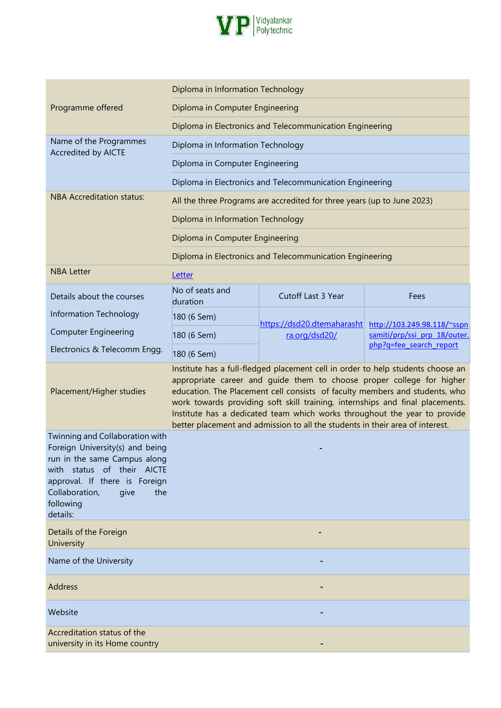

|                                                                                                                                                                                                                             | Diploma in Information Technology |                                                                                                                                                                                                                                                                                                                                                                                                                                                                                        |                              |
|-----------------------------------------------------------------------------------------------------------------------------------------------------------------------------------------------------------------------------|-----------------------------------|----------------------------------------------------------------------------------------------------------------------------------------------------------------------------------------------------------------------------------------------------------------------------------------------------------------------------------------------------------------------------------------------------------------------------------------------------------------------------------------|------------------------------|
| Programme offered                                                                                                                                                                                                           | Diploma in Computer Engineering   |                                                                                                                                                                                                                                                                                                                                                                                                                                                                                        |                              |
|                                                                                                                                                                                                                             |                                   | Diploma in Electronics and Telecommunication Engineering                                                                                                                                                                                                                                                                                                                                                                                                                               |                              |
| Name of the Programmes<br><b>Accredited by AICTE</b>                                                                                                                                                                        | Diploma in Information Technology |                                                                                                                                                                                                                                                                                                                                                                                                                                                                                        |                              |
|                                                                                                                                                                                                                             | Diploma in Computer Engineering   |                                                                                                                                                                                                                                                                                                                                                                                                                                                                                        |                              |
|                                                                                                                                                                                                                             |                                   | Diploma in Electronics and Telecommunication Engineering                                                                                                                                                                                                                                                                                                                                                                                                                               |                              |
| <b>NBA Accreditation status:</b>                                                                                                                                                                                            |                                   | All the three Programs are accredited for three years (up to June 2023)                                                                                                                                                                                                                                                                                                                                                                                                                |                              |
|                                                                                                                                                                                                                             | Diploma in Information Technology |                                                                                                                                                                                                                                                                                                                                                                                                                                                                                        |                              |
|                                                                                                                                                                                                                             | Diploma in Computer Engineering   |                                                                                                                                                                                                                                                                                                                                                                                                                                                                                        |                              |
|                                                                                                                                                                                                                             |                                   | Diploma in Electronics and Telecommunication Engineering                                                                                                                                                                                                                                                                                                                                                                                                                               |                              |
| <b>NBA Letter</b>                                                                                                                                                                                                           | Letter                            |                                                                                                                                                                                                                                                                                                                                                                                                                                                                                        |                              |
| Details about the courses                                                                                                                                                                                                   | No of seats and<br>duration       | Cutoff Last 3 Year                                                                                                                                                                                                                                                                                                                                                                                                                                                                     | Fees                         |
| Information Technology                                                                                                                                                                                                      | 180 (6 Sem)                       | https://dsd20.dtemaharasht                                                                                                                                                                                                                                                                                                                                                                                                                                                             | http://103.249.98.118/~sspn  |
| <b>Computer Engineering</b>                                                                                                                                                                                                 | 180 (6 Sem)                       | ra.org/dsd20/                                                                                                                                                                                                                                                                                                                                                                                                                                                                          | samiti/prp/ssi prp 18/outer. |
| Electronics & Telecomm Engg.                                                                                                                                                                                                | 180 (6 Sem)                       |                                                                                                                                                                                                                                                                                                                                                                                                                                                                                        | php?q=fee_search_report      |
| Placement/Higher studies                                                                                                                                                                                                    |                                   | Institute has a full-fledged placement cell in order to help students choose an<br>appropriate career and quide them to choose proper college for higher<br>education. The Placement cell consists of faculty members and students, who<br>work towards providing soft skill training, internships and final placements.<br>Institute has a dedicated team which works throughout the year to provide<br>better placement and admission to all the students in their area of interest. |                              |
| Twinning and Collaboration with<br>Foreign University(s) and being<br>run in the same Campus along<br>with status of their AICTE<br>approval. If there is Foreign<br>Collaboration,<br>give<br>the<br>following<br>details: |                                   |                                                                                                                                                                                                                                                                                                                                                                                                                                                                                        |                              |
| Details of the Foreign<br>University                                                                                                                                                                                        |                                   |                                                                                                                                                                                                                                                                                                                                                                                                                                                                                        |                              |
| Name of the University                                                                                                                                                                                                      |                                   |                                                                                                                                                                                                                                                                                                                                                                                                                                                                                        |                              |
| Address                                                                                                                                                                                                                     |                                   |                                                                                                                                                                                                                                                                                                                                                                                                                                                                                        |                              |
| Website                                                                                                                                                                                                                     |                                   |                                                                                                                                                                                                                                                                                                                                                                                                                                                                                        |                              |
| Accreditation status of the<br>university in its Home country                                                                                                                                                               |                                   |                                                                                                                                                                                                                                                                                                                                                                                                                                                                                        |                              |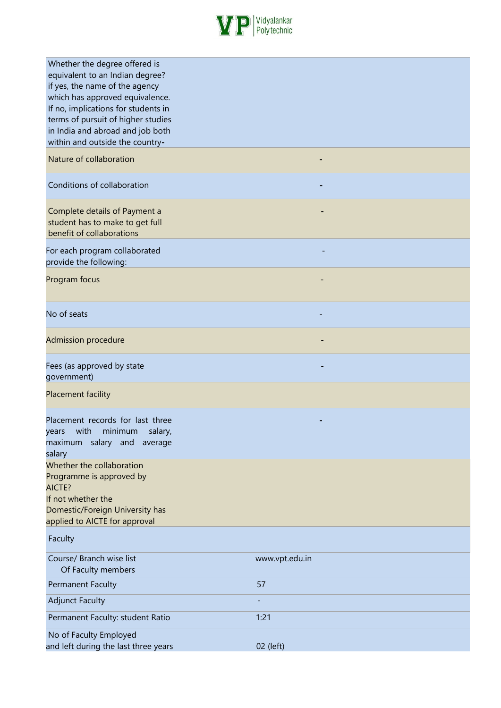

| Whether the degree offered is<br>equivalent to an Indian degree?<br>if yes, the name of the agency<br>which has approved equivalence.<br>If no, implications for students in<br>terms of pursuit of higher studies<br>in India and abroad and job both<br>within and outside the country- |                |
|-------------------------------------------------------------------------------------------------------------------------------------------------------------------------------------------------------------------------------------------------------------------------------------------|----------------|
| Nature of collaboration                                                                                                                                                                                                                                                                   |                |
| Conditions of collaboration                                                                                                                                                                                                                                                               |                |
| Complete details of Payment a<br>student has to make to get full<br>benefit of collaborations                                                                                                                                                                                             |                |
| For each program collaborated<br>provide the following:                                                                                                                                                                                                                                   |                |
| Program focus                                                                                                                                                                                                                                                                             |                |
| No of seats                                                                                                                                                                                                                                                                               |                |
| <b>Admission procedure</b>                                                                                                                                                                                                                                                                |                |
| Fees (as approved by state<br>government)                                                                                                                                                                                                                                                 |                |
| Placement facility                                                                                                                                                                                                                                                                        |                |
| Placement records for last three<br>years with minimum salary,<br>maximum salary and average<br>salary                                                                                                                                                                                    |                |
| Whether the collaboration<br>Programme is approved by<br>AICTE?<br>If not whether the                                                                                                                                                                                                     |                |
| Domestic/Foreign University has<br>applied to AICTE for approval                                                                                                                                                                                                                          |                |
| Faculty                                                                                                                                                                                                                                                                                   |                |
| Course/ Branch wise list<br>Of Faculty members                                                                                                                                                                                                                                            | www.vpt.edu.in |
| <b>Permanent Faculty</b>                                                                                                                                                                                                                                                                  | 57             |
| <b>Adjunct Faculty</b>                                                                                                                                                                                                                                                                    |                |
| Permanent Faculty: student Ratio                                                                                                                                                                                                                                                          | 1:21           |
| No of Faculty Employed<br>and left during the last three years                                                                                                                                                                                                                            | 02 (left)      |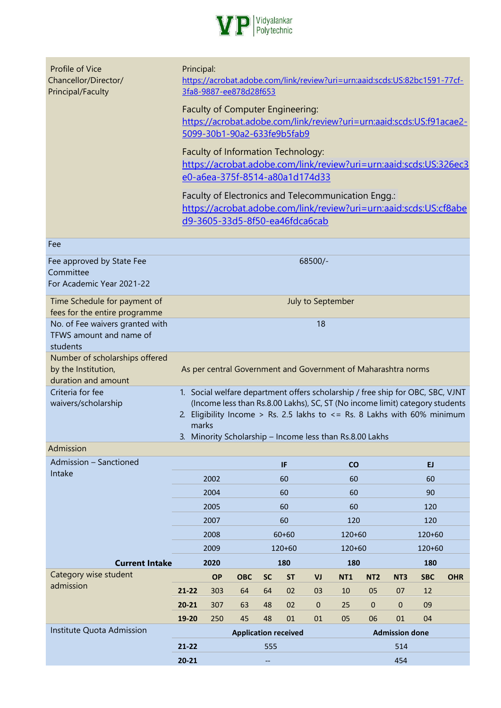

| Profile of Vice<br>Chancellor/Director/<br>Principal/Faculty                 | Principal:                                                                                                                                                                                                                                                                                                          | 3fa8-9887-ee878d28f653                                               |                             |           |               |                   | https://acrobat.adobe.com/link/review?uri=urn:aaid:scds:US:82bc1591-77cf-                                                |                 |                       |               |            |
|------------------------------------------------------------------------------|---------------------------------------------------------------------------------------------------------------------------------------------------------------------------------------------------------------------------------------------------------------------------------------------------------------------|----------------------------------------------------------------------|-----------------------------|-----------|---------------|-------------------|--------------------------------------------------------------------------------------------------------------------------|-----------------|-----------------------|---------------|------------|
|                                                                              |                                                                                                                                                                                                                                                                                                                     | Faculty of Computer Engineering:<br>5099-30b1-90a2-633fe9b5fab9      |                             |           |               |                   | https://acrobat.adobe.com/link/review?uri=urn:aaid:scds:US:f91acae2-                                                     |                 |                       |               |            |
|                                                                              |                                                                                                                                                                                                                                                                                                                     | Faculty of Information Technology:<br>e0-a6ea-375f-8514-a80a1d174d33 |                             |           |               |                   | https://acrobat.adobe.com/link/review?uri=urn:aaid:scds:US:326ec3                                                        |                 |                       |               |            |
|                                                                              |                                                                                                                                                                                                                                                                                                                     | d9-3605-33d5-8f50-ea46fdca6cab                                       |                             |           |               |                   | Faculty of Electronics and Telecommunication Engg.:<br>https://acrobat.adobe.com/link/review?uri=urn:aaid:scds:US:cf8abe |                 |                       |               |            |
| Fee                                                                          |                                                                                                                                                                                                                                                                                                                     |                                                                      |                             |           |               |                   |                                                                                                                          |                 |                       |               |            |
| Fee approved by State Fee<br>Committee<br>For Academic Year 2021-22          |                                                                                                                                                                                                                                                                                                                     |                                                                      |                             |           |               | 68500/-           |                                                                                                                          |                 |                       |               |            |
| Time Schedule for payment of<br>fees for the entire programme                |                                                                                                                                                                                                                                                                                                                     |                                                                      |                             |           |               | July to September |                                                                                                                          |                 |                       |               |            |
| No. of Fee waivers granted with<br>TFWS amount and name of<br>students       | 18                                                                                                                                                                                                                                                                                                                  |                                                                      |                             |           |               |                   |                                                                                                                          |                 |                       |               |            |
| Number of scholarships offered<br>by the Institution,<br>duration and amount |                                                                                                                                                                                                                                                                                                                     |                                                                      |                             |           |               |                   | As per central Government and Government of Maharashtra norms                                                            |                 |                       |               |            |
| Criteria for fee<br>waivers/scholarship                                      | 1. Social welfare department offers scholarship / free ship for OBC, SBC, VJNT<br>(Income less than Rs.8.00 Lakhs), SC, ST (No income limit) category students<br>2. Eligibility Income > Rs. 2.5 lakhs to $\leq$ Rs. 8 Lakhs with 60% minimum<br>marks<br>3. Minority Scholarship - Income less than Rs.8.00 Lakhs |                                                                      |                             |           |               |                   |                                                                                                                          |                 |                       |               |            |
| Admission                                                                    |                                                                                                                                                                                                                                                                                                                     |                                                                      |                             |           |               |                   |                                                                                                                          |                 |                       |               |            |
| Admission - Sanctioned                                                       |                                                                                                                                                                                                                                                                                                                     |                                                                      |                             |           | IF.           |                   | co                                                                                                                       |                 |                       | EJ            |            |
| Intake                                                                       |                                                                                                                                                                                                                                                                                                                     | 2002                                                                 |                             |           | 60            |                   | 60                                                                                                                       |                 |                       | 60            |            |
|                                                                              |                                                                                                                                                                                                                                                                                                                     | 2004                                                                 |                             |           | 60            |                   | 60                                                                                                                       |                 |                       | 90            |            |
|                                                                              |                                                                                                                                                                                                                                                                                                                     | 2005                                                                 |                             |           | 60            |                   | 60                                                                                                                       |                 |                       | 120           |            |
|                                                                              |                                                                                                                                                                                                                                                                                                                     | 2007                                                                 |                             |           | 60            |                   | 120                                                                                                                      |                 |                       | 120           |            |
|                                                                              |                                                                                                                                                                                                                                                                                                                     | 2008                                                                 |                             |           | $60 + 60$     |                   | 120+60                                                                                                                   |                 |                       | 120+60        |            |
| <b>Current Intake</b>                                                        |                                                                                                                                                                                                                                                                                                                     | 2009<br>2020                                                         |                             |           | 120+60<br>180 |                   | 120+60<br>180                                                                                                            |                 |                       | 120+60<br>180 |            |
| Category wise student                                                        |                                                                                                                                                                                                                                                                                                                     | <b>OP</b>                                                            | <b>OBC</b>                  | <b>SC</b> | <b>ST</b>     | VJ                | <b>NT1</b>                                                                                                               | NT <sub>2</sub> | NT <sub>3</sub>       | <b>SBC</b>    | <b>OHR</b> |
| admission                                                                    | $21 - 22$                                                                                                                                                                                                                                                                                                           | 303                                                                  | 64                          | 64        | 02            | 03                | 10                                                                                                                       | 05              | 07                    | 12            |            |
|                                                                              | $20 - 21$                                                                                                                                                                                                                                                                                                           | 307                                                                  | 63                          | 48        | 02            | $\pmb{0}$         | 25                                                                                                                       | $\mathbf 0$     | $\mathbf 0$           | 09            |            |
|                                                                              | 19-20                                                                                                                                                                                                                                                                                                               | 250                                                                  | 45                          | 48        | 01            | 01                | 05                                                                                                                       | 06              | 01                    | 04            |            |
| Institute Quota Admission                                                    |                                                                                                                                                                                                                                                                                                                     |                                                                      | <b>Application received</b> |           |               |                   |                                                                                                                          |                 | <b>Admission done</b> |               |            |
|                                                                              | $21 - 22$                                                                                                                                                                                                                                                                                                           |                                                                      |                             | 555       |               |                   |                                                                                                                          |                 | 514                   |               |            |
|                                                                              | $20 - 21$                                                                                                                                                                                                                                                                                                           |                                                                      |                             |           |               |                   |                                                                                                                          |                 | 454                   |               |            |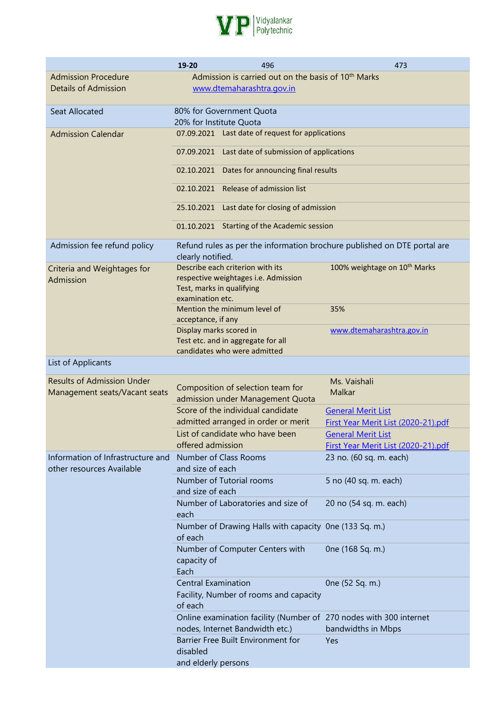

|                                                                    | 19-20                                         | 496                                                                                          | 473                                                                                      |  |  |  |  |
|--------------------------------------------------------------------|-----------------------------------------------|----------------------------------------------------------------------------------------------|------------------------------------------------------------------------------------------|--|--|--|--|
| <b>Admission Procedure</b><br><b>Details of Admission</b>          |                                               | Admission is carried out on the basis of 10 <sup>th</sup> Marks<br>www.dtemaharashtra.gov.in |                                                                                          |  |  |  |  |
| <b>Seat Allocated</b>                                              |                                               | 80% for Government Quota                                                                     |                                                                                          |  |  |  |  |
| <b>Admission Calendar</b>                                          | 20% for Institute Quota                       | 07.09.2021 Last date of request for applications                                             |                                                                                          |  |  |  |  |
|                                                                    |                                               | 07.09.2021 Last date of submission of applications                                           |                                                                                          |  |  |  |  |
|                                                                    | 02.10.2021 Dates for announcing final results |                                                                                              |                                                                                          |  |  |  |  |
|                                                                    | 02.10.2021 Release of admission list          |                                                                                              |                                                                                          |  |  |  |  |
|                                                                    |                                               | 25.10.2021 Last date for closing of admission                                                |                                                                                          |  |  |  |  |
|                                                                    |                                               | 01.10.2021 Starting of the Academic session                                                  |                                                                                          |  |  |  |  |
| Admission fee refund policy                                        | clearly notified.                             |                                                                                              | Refund rules as per the information brochure published on DTE portal are                 |  |  |  |  |
| Criteria and Weightages for<br>Admission                           | Test, marks in qualifying<br>examination etc. | Describe each criterion with its<br>respective weightages i.e. Admission                     | 100% weightage on 10 <sup>th</sup> Marks                                                 |  |  |  |  |
|                                                                    | acceptance, if any                            | Mention the minimum level of                                                                 | 35%                                                                                      |  |  |  |  |
|                                                                    | Display marks scored in                       | Test etc. and in aggregate for all<br>candidates who were admitted                           | www.dtemaharashtra.gov.in                                                                |  |  |  |  |
| List of Applicants                                                 |                                               |                                                                                              |                                                                                          |  |  |  |  |
| <b>Results of Admission Under</b><br>Management seats/Vacant seats |                                               | Composition of selection team for<br>admission under Management Quota                        | Ms. Vaishali<br>Malkar                                                                   |  |  |  |  |
|                                                                    |                                               | Score of the individual candidate                                                            | <b>General Merit List</b>                                                                |  |  |  |  |
|                                                                    |                                               | admitted arranged in order or merit                                                          | First Year Merit List (2020-21).pdf                                                      |  |  |  |  |
|                                                                    |                                               | List of candidate who have been                                                              | <b>General Merit List</b>                                                                |  |  |  |  |
|                                                                    | offered admission                             |                                                                                              | First Year Merit List (2020-21).pdf                                                      |  |  |  |  |
| Information of Infrastructure and<br>other resources Available     | and size of each                              | Number of Class Rooms                                                                        | 23 no. (60 sq. m. each)                                                                  |  |  |  |  |
|                                                                    | and size of each                              | Number of Tutorial rooms                                                                     | 5 no (40 sq. m. each)                                                                    |  |  |  |  |
|                                                                    | each                                          | Number of Laboratories and size of                                                           | 20 no (54 sq. m. each)                                                                   |  |  |  |  |
|                                                                    | of each                                       | Number of Drawing Halls with capacity One (133 Sq. m.)                                       |                                                                                          |  |  |  |  |
|                                                                    | capacity of<br>Each                           | Number of Computer Centers with                                                              | 0ne (168 Sq. m.)                                                                         |  |  |  |  |
|                                                                    | <b>Central Examination</b><br>of each         | Facility, Number of rooms and capacity                                                       | 0ne (52 Sq. m.)                                                                          |  |  |  |  |
|                                                                    |                                               | nodes, Internet Bandwidth etc.)                                                              | Online examination facility (Number of 270 nodes with 300 internet<br>bandwidths in Mbps |  |  |  |  |
|                                                                    | disabled                                      | Barrier Free Built Environment for                                                           | Yes                                                                                      |  |  |  |  |
|                                                                    | and elderly persons                           |                                                                                              |                                                                                          |  |  |  |  |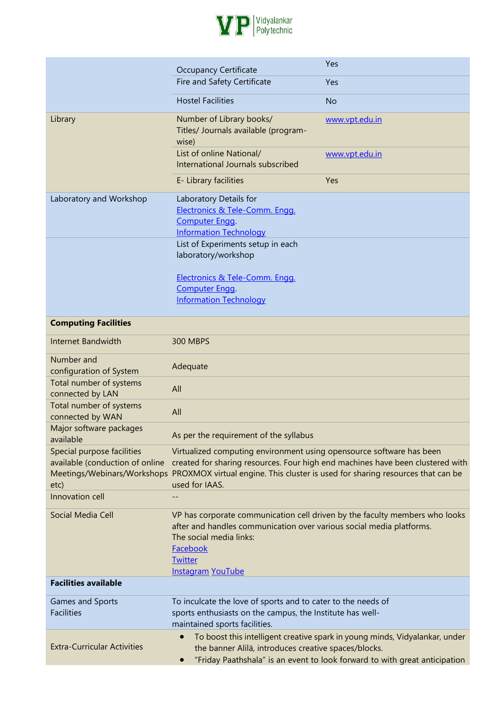

|                                                                       | <b>Occupancy Certificate</b>                                                                                                                                                                         | Yes                                                                                                                                                       |
|-----------------------------------------------------------------------|------------------------------------------------------------------------------------------------------------------------------------------------------------------------------------------------------|-----------------------------------------------------------------------------------------------------------------------------------------------------------|
|                                                                       | Fire and Safety Certificate                                                                                                                                                                          | Yes                                                                                                                                                       |
|                                                                       | <b>Hostel Facilities</b>                                                                                                                                                                             | <b>No</b>                                                                                                                                                 |
| Library                                                               | Number of Library books/<br>Titles/ Journals available (program-<br>wise)                                                                                                                            | www.vpt.edu.in                                                                                                                                            |
|                                                                       | List of online National/<br>International Journals subscribed                                                                                                                                        | www.vpt.edu.in                                                                                                                                            |
|                                                                       | E- Library facilities                                                                                                                                                                                | Yes                                                                                                                                                       |
| Laboratory and Workshop                                               | Laboratory Details for<br>Electronics & Tele-Comm. Engg.<br>Computer Engq.<br><b>Information Technology</b><br>List of Experiments setup in each                                                     |                                                                                                                                                           |
|                                                                       | laboratory/workshop                                                                                                                                                                                  |                                                                                                                                                           |
|                                                                       | Electronics & Tele-Comm. Engg.<br>Computer Engq.<br><b>Information Technology</b>                                                                                                                    |                                                                                                                                                           |
| <b>Computing Facilities</b>                                           |                                                                                                                                                                                                      |                                                                                                                                                           |
| Internet Bandwidth                                                    | 300 MBPS                                                                                                                                                                                             |                                                                                                                                                           |
| Number and<br>configuration of System                                 | Adequate                                                                                                                                                                                             |                                                                                                                                                           |
| Total number of systems<br>connected by LAN                           | All                                                                                                                                                                                                  |                                                                                                                                                           |
| Total number of systems<br>connected by WAN                           | All                                                                                                                                                                                                  |                                                                                                                                                           |
| Major software packages<br>available                                  | As per the requirement of the syllabus                                                                                                                                                               |                                                                                                                                                           |
| Special purpose facilities<br>available (conduction of online<br>etc) | Virtualized computing environment using opensource software has been<br>Meetings/Webinars/Workshops PROXMOX virtual engine. This cluster is used for sharing resources that can be<br>used for IAAS. | created for sharing resources. Four high end machines have been clustered with                                                                            |
| Innovation cell                                                       |                                                                                                                                                                                                      |                                                                                                                                                           |
| Social Media Cell                                                     | after and handles communication over various social media platforms.<br>The social media links:<br>Facebook<br><b>Twitter</b><br><b>Instagram YouTube</b>                                            | VP has corporate communication cell driven by the faculty members who looks                                                                               |
| <b>Facilities available</b>                                           |                                                                                                                                                                                                      |                                                                                                                                                           |
| Games and Sports<br><b>Facilities</b>                                 | To inculcate the love of sports and to cater to the needs of<br>sports enthusiasts on the campus, the Institute has well-<br>maintained sports facilities.                                           |                                                                                                                                                           |
| <b>Extra-Curricular Activities</b>                                    | $\bullet$<br>the banner Alilā, introduces creative spaces/blocks.                                                                                                                                    | To boost this intelligent creative spark in young minds, Vidyalankar, under<br>"Friday Paathshala" is an event to look forward to with great anticipation |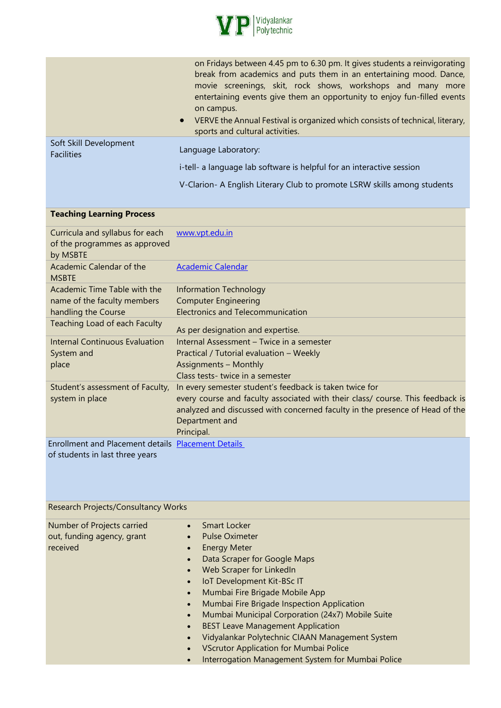

|                        | on Fridays between 4.45 pm to 6.30 pm. It gives students a reinvigorating<br>break from academics and puts them in an entertaining mood. Dance,<br>movie screenings, skit, rock shows, workshops and many<br>more<br>entertaining events give them an opportunity to enjoy fun-filled events<br>on campus.<br>VERVE the Annual Festival is organized which consists of technical, literary,<br>$\bullet$<br>sports and cultural activities. |
|------------------------|---------------------------------------------------------------------------------------------------------------------------------------------------------------------------------------------------------------------------------------------------------------------------------------------------------------------------------------------------------------------------------------------------------------------------------------------|
| Soft Skill Development | Language Laboratory:                                                                                                                                                                                                                                                                                                                                                                                                                        |
| <b>Facilities</b>      | i-tell- a language lab software is helpful for an interactive session                                                                                                                                                                                                                                                                                                                                                                       |

V-Clarion- A English Literary Club to promote LSRW skills among students

## **Teaching Learning Process**

| Curricula and syllabus for each<br>of the programmes as approved<br>by MSBTE                                        | www.vpt.edu.in                                                                                                                                                                                                                                            |
|---------------------------------------------------------------------------------------------------------------------|-----------------------------------------------------------------------------------------------------------------------------------------------------------------------------------------------------------------------------------------------------------|
| Academic Calendar of the<br><b>MSBTE</b>                                                                            | <b>Academic Calendar</b>                                                                                                                                                                                                                                  |
| Academic Time Table with the<br>name of the faculty members<br>handling the Course<br>Teaching Load of each Faculty | Information Technology<br><b>Computer Engineering</b><br><b>Electronics and Telecommunication</b>                                                                                                                                                         |
| Internal Continuous Evaluation<br>System and<br>place                                                               | As per designation and expertise.<br>Internal Assessment - Twice in a semester<br>Practical / Tutorial evaluation - Weekly<br><b>Assignments - Monthly</b><br>Class tests-twice in a semester                                                             |
| Student's assessment of Faculty,<br>system in place                                                                 | In every semester student's feedback is taken twice for<br>every course and faculty associated with their class/ course. This feedback is<br>analyzed and discussed with concerned faculty in the presence of Head of the<br>Department and<br>Principal. |
| Enrollment and Placement details Placement Details<br>of students in last three years                               |                                                                                                                                                                                                                                                           |

of students in last three years

| Research Projects/Consultancy Works                                  |                                                                                                                                                                                                                                                                                                                                                                                                        |
|----------------------------------------------------------------------|--------------------------------------------------------------------------------------------------------------------------------------------------------------------------------------------------------------------------------------------------------------------------------------------------------------------------------------------------------------------------------------------------------|
| Number of Projects carried<br>out, funding agency, grant<br>received | Smart Locker<br>$\bullet$<br><b>Pulse Oximeter</b><br>$\bullet$<br><b>Energy Meter</b><br>$\bullet$<br>Data Scraper for Google Maps<br>$\bullet$<br>Web Scraper for LinkedIn<br>$\bullet$<br><b>IoT Development Kit-BSc IT</b><br>$\bullet$                                                                                                                                                            |
|                                                                      | Mumbai Fire Brigade Mobile App<br>$\bullet$<br>Mumbai Fire Brigade Inspection Application<br>$\bullet$<br>Mumbai Municipal Corporation (24x7) Mobile Suite<br>$\bullet$<br><b>BEST Leave Management Application</b><br>$\bullet$<br>Vidyalankar Polytechnic CIAAN Management System<br><b>VScrutor Application for Mumbai Police</b><br>$\bullet$<br>Interrogation Management System for Mumbai Police |